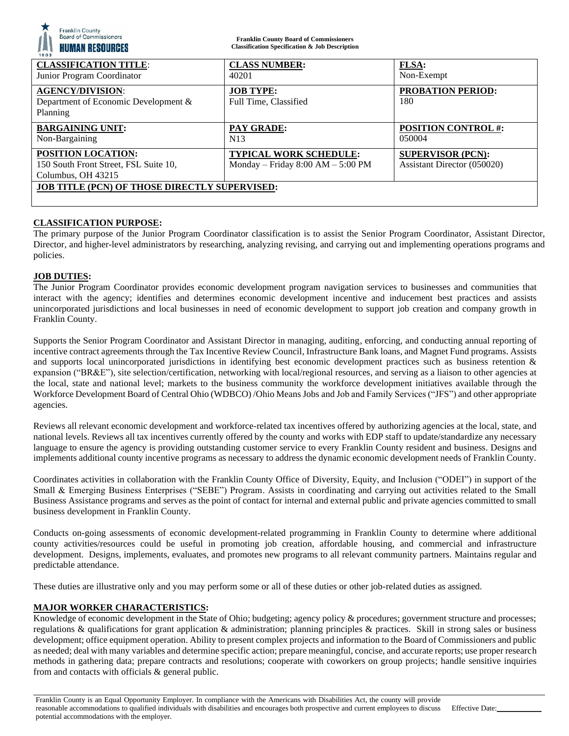| <b>Franklin County</b><br>Board of Commissioners<br><b>HUMAN RESOURCES</b><br>1803 | <b>Franklin County Board of Commissioners</b><br><b>Classification Specification &amp; Job Description</b> |                             |
|------------------------------------------------------------------------------------|------------------------------------------------------------------------------------------------------------|-----------------------------|
| <b>CLASSIFICATION TITLE:</b>                                                       | <b>CLASS NUMBER:</b>                                                                                       | <b>FLSA:</b>                |
| Junior Program Coordinator                                                         | 40201                                                                                                      | Non-Exempt                  |
| <b>AGENCY/DIVISION:</b>                                                            | <b>JOB TYPE:</b>                                                                                           | <b>PROBATION PERIOD:</b>    |
| Department of Economic Development &                                               | Full Time, Classified                                                                                      | 180                         |
| Planning                                                                           |                                                                                                            |                             |
| <b>BARGAINING UNIT:</b>                                                            | <b>PAY GRADE:</b>                                                                                          | <b>POSITION CONTROL #:</b>  |
| Non-Bargaining                                                                     | N <sub>13</sub>                                                                                            | 050004                      |
| <b>POSITION LOCATION:</b>                                                          | <b>TYPICAL WORK SCHEDULE:</b>                                                                              | <b>SUPERVISOR (PCN):</b>    |
| 150 South Front Street, FSL Suite 10,                                              | Monday – Friday $8:00$ AM – $5:00$ PM                                                                      | Assistant Director (050020) |
| Columbus, OH 43215                                                                 |                                                                                                            |                             |
| JOB TITLE (PCN) OF THOSE DIRECTLY SUPERVISED:                                      |                                                                                                            |                             |
|                                                                                    |                                                                                                            |                             |

## **CLASSIFICATION PURPOSE:**

The primary purpose of the Junior Program Coordinator classification is to assist the Senior Program Coordinator, Assistant Director, Director, and higher-level administrators by researching, analyzing revising, and carrying out and implementing operations programs and policies.

### **JOB DUTIES:**

The Junior Program Coordinator provides economic development program navigation services to businesses and communities that interact with the agency; identifies and determines economic development incentive and inducement best practices and assists unincorporated jurisdictions and local businesses in need of economic development to support job creation and company growth in Franklin County.

Supports the Senior Program Coordinator and Assistant Director in managing, auditing, enforcing, and conducting annual reporting of incentive contract agreements through the Tax Incentive Review Council, Infrastructure Bank loans, and Magnet Fund programs. Assists and supports local unincorporated jurisdictions in identifying best economic development practices such as business retention & expansion ("BR&E"), site selection/certification, networking with local/regional resources, and serving as a liaison to other agencies at the local, state and national level; markets to the business community the workforce development initiatives available through the Workforce Development Board of Central Ohio (WDBCO) /Ohio Means Jobs and Job and Family Services ("JFS") and other appropriate agencies.

Reviews all relevant economic development and workforce-related tax incentives offered by authorizing agencies at the local, state, and national levels. Reviews all tax incentives currently offered by the county and works with EDP staff to update/standardize any necessary language to ensure the agency is providing outstanding customer service to every Franklin County resident and business. Designs and implements additional county incentive programs as necessary to address the dynamic economic development needs of Franklin County.

Coordinates activities in collaboration with the Franklin County Office of Diversity, Equity, and Inclusion ("ODEI") in support of the Small & Emerging Business Enterprises ("SEBE") Program. Assists in coordinating and carrying out activities related to the Small Business Assistance programs and serves as the point of contact for internal and external public and private agencies committed to small business development in Franklin County.

Conducts on-going assessments of economic development-related programming in Franklin County to determine where additional county activities/resources could be useful in promoting job creation, affordable housing, and commercial and infrastructure development. Designs, implements, evaluates, and promotes new programs to all relevant community partners. Maintains regular and predictable attendance.

These duties are illustrative only and you may perform some or all of these duties or other job-related duties as assigned.

## **MAJOR WORKER CHARACTERISTICS:**

Knowledge of economic development in the State of Ohio; budgeting; agency policy & procedures; government structure and processes; regulations & qualifications for grant application & administration; planning principles & practices. Skill in strong sales or business development; office equipment operation. Ability to present complex projects and information to the Board of Commissioners and public as needed; deal with many variables and determine specific action; prepare meaningful, concise, and accurate reports; use proper research methods in gathering data; prepare contracts and resolutions; cooperate with coworkers on group projects; handle sensitive inquiries from and contacts with officials & general public.